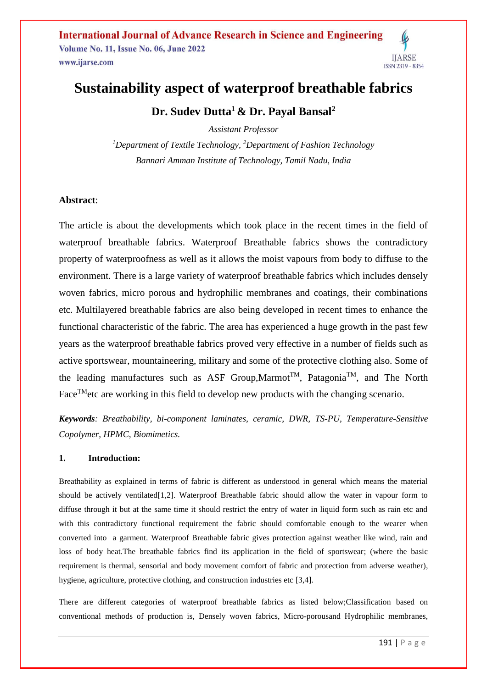**International Journal of Advance Research in Science and Engineering Volume No. 11, Issue No. 06, June 2022** www.ijarse.com



# **Sustainability aspect of waterproof breathable fabrics**

**Dr. Sudev Dutta<sup>1</sup> & Dr. Payal Bansal<sup>2</sup>**

*Assistant Professor <sup>1</sup>Department of Textile Technology, <sup>2</sup>Department of Fashion Technology Bannari Amman Institute of Technology, Tamil Nadu, India*

# **Abstract**:

The article is about the developments which took place in the recent times in the field of waterproof breathable fabrics. Waterproof Breathable fabrics shows the contradictory property of waterproofness as well as it allows the moist vapours from body to diffuse to the environment. There is a large variety of waterproof breathable fabrics which includes densely woven fabrics, micro porous and hydrophilic membranes and coatings, their combinations etc. Multilayered breathable fabrics are also being developed in recent times to enhance the functional characteristic of the fabric. The area has experienced a huge growth in the past few years as the waterproof breathable fabrics proved very effective in a number of fields such as active sportswear, mountaineering, military and some of the protective clothing also. Some of the leading manufactures such as ASF Group, Marmot<sup>TM</sup>, Patagonia<sup>TM</sup>, and The North Face<sup>TM</sup>etc are working in this field to develop new products with the changing scenario.

*Keywords: Breathability, bi-component laminates, ceramic, DWR, TS-PU, Temperature-Sensitive Copolymer, HPMC, Biomimetics.*

# **1. Introduction:**

Breathability as explained in terms of fabric is different as understood in general which means the material should be actively ventilated[1,2]. Waterproof Breathable fabric should allow the water in vapour form to diffuse through it but at the same time it should restrict the entry of water in liquid form such as rain etc and with this contradictory functional requirement the fabric should comfortable enough to the wearer when converted into a garment. Waterproof Breathable fabric gives protection against weather like wind, rain and loss of body heat.The breathable fabrics find its application in the field of sportswear; (where the basic requirement is thermal, sensorial and body movement comfort of fabric and protection from adverse weather), hygiene, agriculture, protective clothing, and construction industries etc [3,4].

There are different categories of waterproof breathable fabrics as listed below;Classification based on conventional methods of production is, Densely woven fabrics, Micro-porousand Hydrophilic membranes,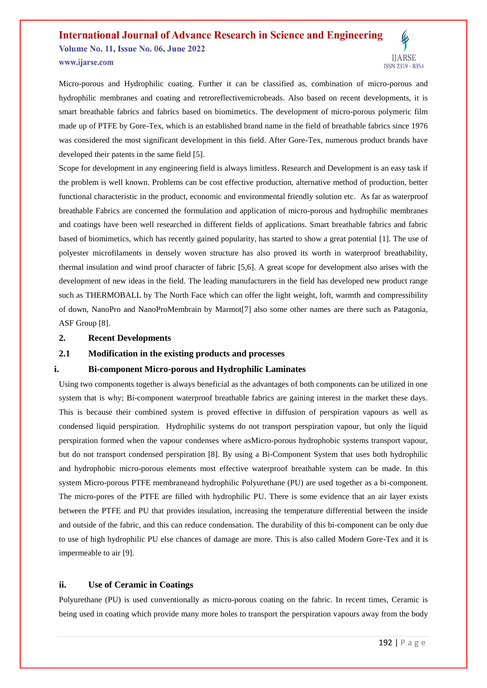# **International Journal of Advance Research in Science and Engineering Volume No. 11, Issue No. 06, June 2022** www.ijarse.com



Micro-porous and Hydrophilic coating. Further it can be classified as, combination of micro-porous and hydrophilic membranes and coating and retroreflectivemicrobeads. Also based on recent developments, it is smart breathable fabrics and fabrics based on biomimetics. The development of micro-porous polymeric film made up of PTFE by Gore-Tex, which is an established brand name in the field of breathable fabrics since 1976 was considered the most significant development in this field. After Gore-Tex, numerous product brands have developed their patents in the same field [5].

Scope for development in any engineering field is always limitless. Research and Development is an easy task if the problem is well known. Problems can be cost effective production, alternative method of production, better functional characteristic in the product, economic and environmental friendly solution etc. As far as waterproof breathable Fabrics are concerned the formulation and application of micro-porous and hydrophilic membranes and coatings have been well researched in different fields of applications. Smart breathable fabrics and fabric based of biomimetics, which has recently gained popularity, has started to show a great potential [1]. The use of polyester microfilaments in densely woven structure has also proved its worth in waterproof breathability, thermal insulation and wind proof character of fabric [5,6]. A great scope for development also arises with the development of new ideas in the field. The leading manufacturers in the field has developed new product range such as THERMOBALL by The North Face which can offer the light weight, loft, warmth and compressibility of down, NanoPro and NanoProMembrain by Marmot[7] also some other names are there such as Patagonia, ASF Group [8].

#### **2. Recent Developments**

# **2.1 Modification in the existing products and processes**

# **i. Bi-component Micro-porous and Hydrophilic Laminates**

Using two components together is always beneficial as the advantages of both components can be utilized in one system that is why; Bi-component waterproof breathable fabrics are gaining interest in the market these days. This is because their combined system is proved effective in diffusion of perspiration vapours as well as condensed liquid perspiration. Hydrophilic systems do not transport perspiration vapour, but only the liquid perspiration formed when the vapour condenses where asMicro-porous hydrophobic systems transport vapour, but do not transport condensed perspiration [8]. By using a Bi-Component System that uses both hydrophilic and hydrophobic micro-porous elements most effective waterproof breathable system can be made. In this system Micro-porous PTFE membraneand hydrophilic Polyurethane (PU) are used together as a bi-component. The micro-pores of the PTFE are filled with hydrophilic PU. There is some evidence that an air layer exists between the PTFE and PU that provides insulation, increasing the temperature differential between the inside and outside of the fabric, and this can reduce condensation. The durability of this bi-component can be only due to use of high hydrophilic PU else chances of damage are more. This is also called Modern Gore-Tex and it is impermeable to air [9].

#### **ii. Use of Ceramic in Coatings**

Polyurethane (PU) is used conventionally as micro-porous coating on the fabric. In recent times, Ceramic is being used in coating which provide many more holes to transport the perspiration vapours away from the body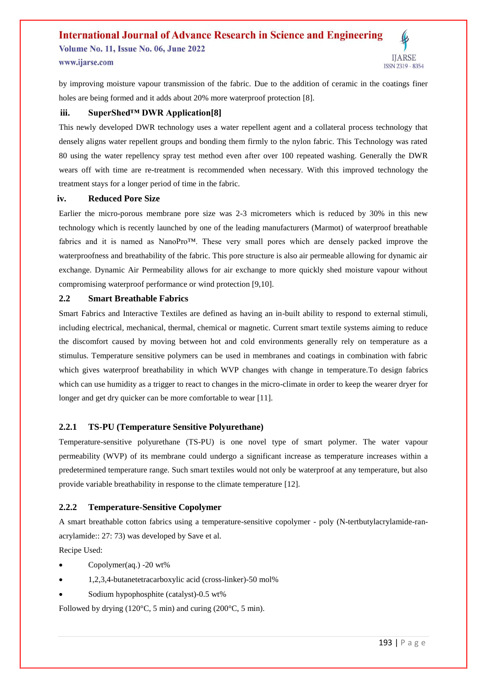#### **International Journal of Advance Research in Science and Engineering Volume No. 11, Issue No. 06, June 2022 IIARSE** www.ijarse.com ISSN 2319 - 8354

by improving moisture vapour transmission of the fabric. Due to the addition of ceramic in the coatings finer holes are being formed and it adds about 20% more waterproof protection [8].

## **iii. SuperShed™ DWR Application[8]**

This newly developed DWR technology uses a water repellent agent and a collateral process technology that densely aligns water repellent groups and bonding them firmly to the nylon fabric. This Technology was rated 80 using the water repellency spray test method even after over 100 repeated washing. Generally the DWR wears off with time are re-treatment is recommended when necessary. With this improved technology the treatment stays for a longer period of time in the fabric.

#### **iv. Reduced Pore Size**

Earlier the micro-porous membrane pore size was 2-3 micrometers which is reduced by 30% in this new technology which is recently launched by one of the leading manufacturers (Marmot) of waterproof breathable fabrics and it is named as NanoPro<sup>TM</sup>. These very small pores which are densely packed improve the waterproofness and breathability of the fabric. This pore structure is also air permeable allowing for dynamic air exchange. Dynamic Air Permeability allows for air exchange to more quickly shed moisture vapour without compromising waterproof performance or wind protection [9,10].

## **2.2 Smart Breathable Fabrics**

Smart Fabrics and Interactive Textiles are defined as having an in-built ability to respond to external stimuli, including electrical, mechanical, thermal, chemical or magnetic. Current smart textile systems aiming to reduce the discomfort caused by moving between hot and cold environments generally rely on temperature as a stimulus. Temperature sensitive polymers can be used in membranes and coatings in combination with fabric which gives waterproof breathability in which WVP changes with change in temperature. To design fabrics which can use humidity as a trigger to react to changes in the micro-climate in order to keep the wearer dryer for longer and get dry quicker can be more comfortable to wear [11].

#### **2.2.1 TS-PU (Temperature Sensitive Polyurethane)**

Temperature-sensitive polyurethane (TS-PU) is one novel type of smart polymer. The water vapour permeability (WVP) of its membrane could undergo a significant increase as temperature increases within a predetermined temperature range. Such smart textiles would not only be waterproof at any temperature, but also provide variable breathability in response to the climate temperature [12].

#### **2.2.2 Temperature-Sensitive Copolymer**

A smart breathable cotton fabrics using a temperature-sensitive copolymer - poly (N-tertbutylacrylamide-ranacrylamide:: 27: 73) was developed by Save et al.

Recipe Used:

- Copolymer(aq.) -20 wt%
- 1,2,3,4-butanetetracarboxylic acid (cross-linker)-50 mol%
- Sodium hypophosphite (catalyst)-0.5 wt%

Followed by drying (120°C, 5 min) and curing (200°C, 5 min).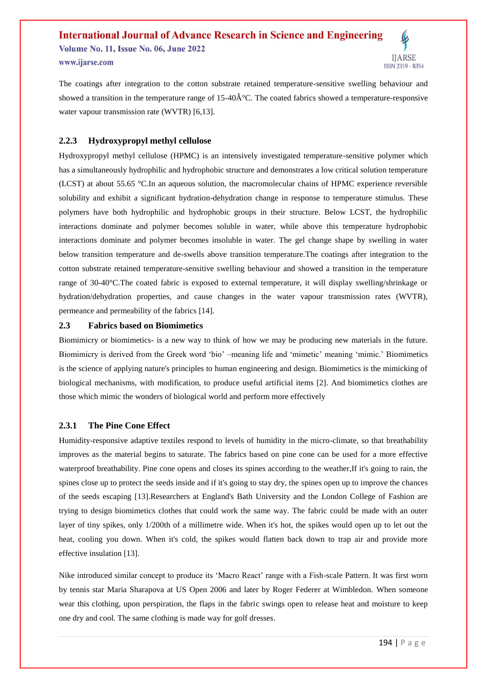# **International Journal of Advance Research in Science and Engineering Volume No. 11, Issue No. 06, June 2022** www.ijarse.com ISSN 2319 - 8354

The coatings after integration to the cotton substrate retained temperature-sensitive swelling behaviour and showed a transition in the temperature range of  $15{\text -}40\hat{A}^{\circ}C$ . The coated fabrics showed a temperature-responsive water vapour transmission rate (WVTR) [6,13].

## **2.2.3 Hydroxypropyl methyl cellulose**

Hydroxypropyl methyl cellulose (HPMC) is an intensively investigated temperature-sensitive polymer which has a simultaneously hydrophilic and hydrophobic structure and demonstrates a low critical solution temperature (LCST) at about 55.65 °C.In an aqueous solution, the macromolecular chains of HPMC experience reversible solubility and exhibit a significant hydration-dehydration change in response to temperature stimulus. These polymers have both hydrophilic and hydrophobic groups in their structure. Below LCST, the hydrophilic interactions dominate and polymer becomes soluble in water, while above this temperature hydrophobic interactions dominate and polymer becomes insoluble in water. The gel change shape by swelling in water below transition temperature and de-swells above transition temperature.The coatings after integration to the cotton substrate retained temperature-sensitive swelling behaviour and showed a transition in the temperature range of 30-40°C.The coated fabric is exposed to external temperature, it will display swelling/shrinkage or hydration/dehydration properties, and cause changes in the water vapour transmission rates (WVTR), permeance and permeability of the fabrics [14].

#### **2.3 Fabrics based on Biomimetics**

Biomimicry or biomimetics- is a new way to think of how we may be producing new materials in the future. Biomimicry is derived from the Greek word 'bio' –meaning life and 'mimetic' meaning 'mimic.' Biomimetics is the science of applying nature's principles to human engineering and design. Biomimetics is the mimicking of biological mechanisms, with modification, to produce useful artificial items [2]. And biomimetics clothes are those which mimic the wonders of biological world and perform more effectively

#### **2.3.1 The Pine Cone Effect**

Humidity-responsive adaptive textiles respond to levels of humidity in the micro-climate, so that breathability improves as the material begins to saturate. The fabrics based on pine cone can be used for a more effective waterproof breathability. Pine cone opens and closes its spines according to the weather,If it's going to rain, the spines close up to protect the seeds inside and if it's going to stay dry, the spines open up to improve the chances of the seeds escaping [13].Researchers at England's Bath University and the London College of Fashion are trying to design biomimetics clothes that could work the same way. The fabric could be made with an outer layer of tiny spikes, only 1/200th of a millimetre wide. When it's hot, the spikes would open up to let out the heat, cooling you down. When it's cold, the spikes would flatten back down to trap air and provide more effective insulation [13].

Nike introduced similar concept to produce its 'Macro React' range with a Fish-scale Pattern. It was first worn by tennis star Maria Sharapova at US Open 2006 and later by Roger Federer at Wimbledon. When someone wear this clothing, upon perspiration, the flaps in the fabric swings open to release heat and moisture to keep one dry and cool. The same clothing is made way for golf dresses.

**IIARSE**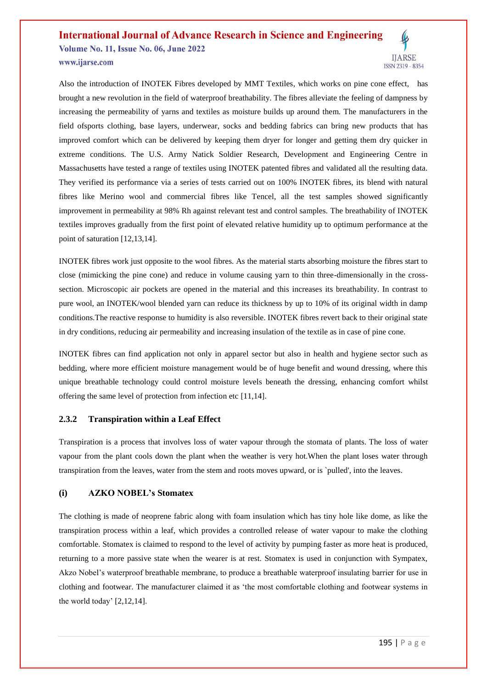# **International Journal of Advance Research in Science and Engineering Volume No. 11, Issue No. 06, June 2022** www.ijarse.com



Also the introduction of INOTEK Fibres developed by MMT Textiles, which works on pine cone effect, has brought a new revolution in the field of waterproof breathability. The fibres alleviate the feeling of dampness by increasing the permeability of yarns and textiles as moisture builds up around them. The manufacturers in the field ofsports clothing, base layers, underwear, socks and bedding fabrics can bring new products that has improved comfort which can be delivered by keeping them dryer for longer and getting them dry quicker in extreme conditions. The U.S. Army Natick Soldier Research, Development and Engineering Centre in Massachusetts have tested a range of textiles using INOTEK patented fibres and validated all the resulting data. They verified its performance via a series of tests carried out on 100% INOTEK fibres, its blend with natural fibres like Merino wool and commercial fibres like Tencel, all the test samples showed significantly improvement in permeability at 98% Rh against relevant test and control samples. The breathability of INOTEK textiles improves gradually from the first point of elevated relative humidity up to optimum performance at the point of saturation [12,13,14].

INOTEK fibres work just opposite to the wool fibres. As the material starts absorbing moisture the fibres start to close (mimicking the pine cone) and reduce in volume causing yarn to thin three-dimensionally in the crosssection. Microscopic air pockets are opened in the material and this increases its breathability. In contrast to pure wool, an INOTEK/wool blended yarn can reduce its thickness by up to 10% of its original width in damp conditions.The reactive response to humidity is also reversible. INOTEK fibres revert back to their original state in dry conditions, reducing air permeability and increasing insulation of the textile as in case of pine cone.

INOTEK fibres can find application not only in apparel sector but also in health and hygiene sector such as bedding, where more efficient moisture management would be of huge benefit and wound dressing, where this unique breathable technology could control moisture levels beneath the dressing, enhancing comfort whilst offering the same level of protection from infection etc [11,14].

#### **2.3.2 Transpiration within a Leaf Effect**

Transpiration is a process that involves loss of water vapour through the stomata of plants. The loss of water vapour from the plant cools down the plant when the weather is very hot.When the plant loses water through transpiration from the leaves, water from the stem and roots moves upward, or is `pulled', into the leaves.

#### **(i) AZKO NOBEL's Stomatex**

The clothing is made of neoprene fabric along with foam insulation which has tiny hole like dome, as like the transpiration process within a leaf, which provides a controlled release of water vapour to make the clothing comfortable. Stomatex is claimed to respond to the level of activity by pumping faster as more heat is produced, returning to a more passive state when the wearer is at rest. Stomatex is used in conjunction with Sympatex, Akzo Nobel's waterproof breathable membrane, to produce a breathable waterproof insulating barrier for use in clothing and footwear. The manufacturer claimed it as 'the most comfortable clothing and footwear systems in the world today' [2,12,14].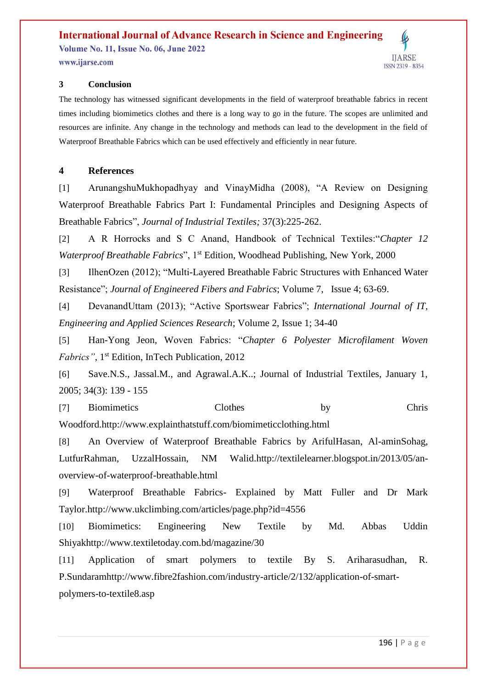# **International Journal of Advance Research in Science and Engineering**

**Volume No. 11, Issue No. 06, June 2022** www.ijarse.com



# **3 Conclusion**

The technology has witnessed significant developments in the field of waterproof breathable fabrics in recent times including biomimetics clothes and there is a long way to go in the future. The scopes are unlimited and resources are infinite. Any change in the technology and methods can lead to the development in the field of Waterproof Breathable Fabrics which can be used effectively and efficiently in near future.

# **4 References**

[1] ArunangshuMukhopadhyay and VinayMidha (2008), "A Review on Designing Waterproof Breathable Fabrics Part I: Fundamental Principles and Designing Aspects of Breathable Fabrics", *Journal of Industrial Textiles;* 37(3):225-262.

[2] A R Horrocks and S C Anand, Handbook of Technical Textiles:"*Chapter 12 Waterproof Breathable Fabrics*", 1<sup>st</sup> Edition, Woodhead Publishing, New York, 2000

[3] IlhenOzen (2012); "Multi-Layered Breathable Fabric Structures with Enhanced Water Resistance"; *Journal of Engineered Fibers and Fabrics*; Volume 7, Issue 4; 63-69.

[4] DevanandUttam (2013); "Active Sportswear Fabrics"; *International Journal of IT, Engineering and Applied Sciences Research*; Volume 2, Issue 1; 34-40

[5] Han-Yong Jeon, Woven Fabrics: "*Chapter 6 Polyester Microfilament Woven Fabrics"*, 1<sup>st</sup> Edition, InTech Publication, 2012

[6] Save.N.S., Jassal.M., and Agrawal.A.K..; Journal of Industrial Textiles, January 1, 2005; 34(3): 139 - 155

[7] Biomimetics Clothes by Chris Woodford[.http://www.explainthatstuff.com/biomimeticclothing.html](http://www.explainthatstuff.com/biomimeticclothing.html)

[8] An Overview of Waterproof Breathable Fabrics by ArifulHasan, Al-aminSohag, LutfurRahman, UzzalHossain, NM Walid[.http://textilelearner.blogspot.in/2013/05/an](http://textilelearner.blogspot.in/2013/05/an-overview-of-waterproof-breathable.html)[overview-of-waterproof-breathable.html](http://textilelearner.blogspot.in/2013/05/an-overview-of-waterproof-breathable.html)

[9] Waterproof Breathable Fabrics- Explained by Matt Fuller and Dr Mark Taylor[.http://www.ukclimbing.com/articles/page.php?id=4556](http://www.ukclimbing.com/articles/page.php?id=4556)

[10] Biomimetics: Engineering New Textile by Md. Abbas Uddin Shiya[khttp://www.textiletoday.com.bd/magazine/30](http://www.textiletoday.com.bd/magazine/30)

[11] Application of smart polymers to textile By S. Ariharasudhan, R. P.Sundara[mhttp://www.fibre2fashion.com/industry-article/2/132/application-of-smart](http://www.fibre2fashion.com/industry-article/2/132/application-of-smart-polymers-to-textile8.asp)[polymers-to-textile8.asp](http://www.fibre2fashion.com/industry-article/2/132/application-of-smart-polymers-to-textile8.asp)